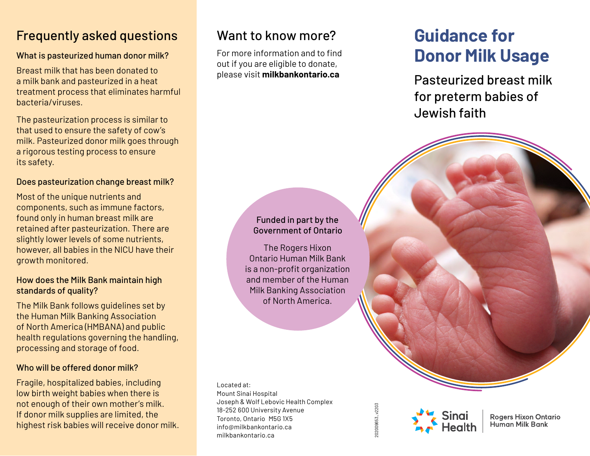## Frequently asked questions

## What is pasteurized human donor milk?

Breast milk that has been donated to a milk bank and pasteurized in a heat treatment process that eliminates harmful bacteria/viruses.

The pasteurization process is similar to that used to ensure the safety of cow's milk. Pasteurized donor milk goes through a rigorous testing process to ensure its safety.

### Does pasteurization change breast milk?

Most of the unique nutrients and components, such as immune factors, found only in human breast milk are retained after pasteurization. There are slightly lower levels of some nutrients, however, all babies in the NICU have their growth monitored.

#### How does the Milk Bank maintain high standards of quality?

The Milk Bank follows guidelines set by the Human Milk Banking Association of North America (HMBANA) and public health regulations governing the handling, processing and storage of food.

### Who will be offered donor milk?

Fragile, hospitalized babies, including low birth weight babies when there is not enough of their own mother's milk. If donor milk supplies are limited, the highest risk babies will receive donor milk.

## Want to know more?

For more information and to find out if you are eligible to donate, please visit **milkbankontario.ca**

# **Guidance for Donor Milk Usage**

Pasteurized breast milk for preterm babies of Jewish faith

## Funded in part by the Government of Ontario

The Rogers Hixon Ontario Human Milk Bank is a non-profit organization and member of the Human Milk Banking Association of North America.

Located at: Mount Sinai Hospital Joseph & Wolf Lebovic Health Complex 18-252 600 University Avenue Toronto, Ontario M5G 1X5 info@milkbankontario.ca milkbankontario.ca

202009653\_v2203 202009653\_v2203



**Rogers Hixon Ontario Human Milk Bank**